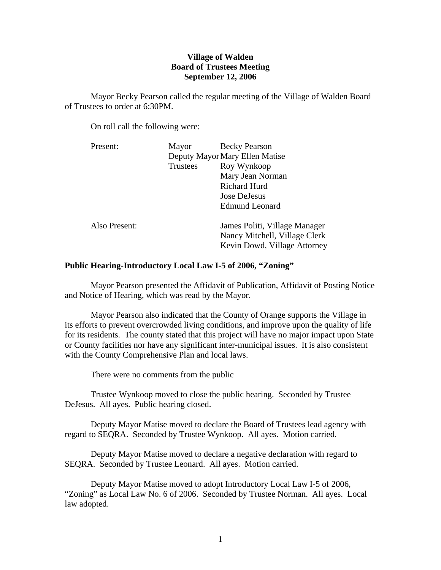# **Village of Walden Board of Trustees Meeting September 12, 2006**

Mayor Becky Pearson called the regular meeting of the Village of Walden Board of Trustees to order at 6:30PM.

On roll call the following were:

| Present:      | Mayor                          | <b>Becky Pearson</b>                                                                           |
|---------------|--------------------------------|------------------------------------------------------------------------------------------------|
|               | Deputy Mayor Mary Ellen Matise |                                                                                                |
|               | <b>Trustees</b>                | Roy Wynkoop                                                                                    |
|               |                                | Mary Jean Norman                                                                               |
|               |                                | Richard Hurd                                                                                   |
|               |                                | Jose DeJesus                                                                                   |
|               |                                | <b>Edmund Leonard</b>                                                                          |
| Also Present: |                                | James Politi, Village Manager<br>Nancy Mitchell, Village Clerk<br>Kevin Dowd, Village Attorney |

## **Public Hearing-Introductory Local Law I-5 of 2006, "Zoning"**

Mayor Pearson presented the Affidavit of Publication, Affidavit of Posting Notice and Notice of Hearing, which was read by the Mayor.

 Mayor Pearson also indicated that the County of Orange supports the Village in its efforts to prevent overcrowded living conditions, and improve upon the quality of life for its residents. The county stated that this project will have no major impact upon State or County facilities nor have any significant inter-municipal issues. It is also consistent with the County Comprehensive Plan and local laws.

There were no comments from the public

 Trustee Wynkoop moved to close the public hearing. Seconded by Trustee DeJesus. All ayes. Public hearing closed.

 Deputy Mayor Matise moved to declare the Board of Trustees lead agency with regard to SEQRA. Seconded by Trustee Wynkoop. All ayes. Motion carried.

Deputy Mayor Matise moved to declare a negative declaration with regard to SEQRA. Seconded by Trustee Leonard. All ayes. Motion carried.

 Deputy Mayor Matise moved to adopt Introductory Local Law I-5 of 2006, "Zoning" as Local Law No. 6 of 2006. Seconded by Trustee Norman. All ayes. Local law adopted.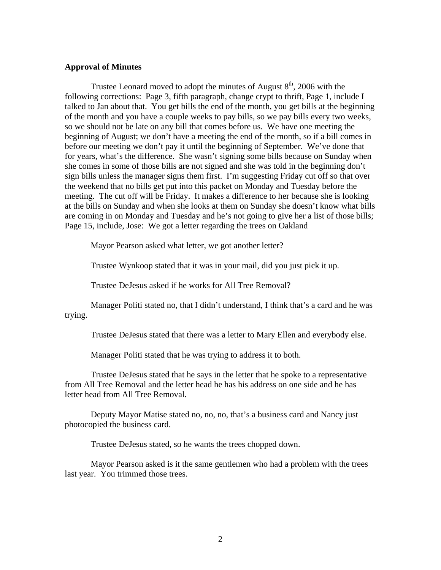## **Approval of Minutes**

Trustee Leonard moved to adopt the minutes of August  $8<sup>th</sup>$ , 2006 with the following corrections: Page 3, fifth paragraph, change crypt to thrift, Page 1, include I talked to Jan about that. You get bills the end of the month, you get bills at the beginning of the month and you have a couple weeks to pay bills, so we pay bills every two weeks, so we should not be late on any bill that comes before us. We have one meeting the beginning of August; we don't have a meeting the end of the month, so if a bill comes in before our meeting we don't pay it until the beginning of September. We've done that for years, what's the difference. She wasn't signing some bills because on Sunday when she comes in some of those bills are not signed and she was told in the beginning don't sign bills unless the manager signs them first. I'm suggesting Friday cut off so that over the weekend that no bills get put into this packet on Monday and Tuesday before the meeting. The cut off will be Friday. It makes a difference to her because she is looking at the bills on Sunday and when she looks at them on Sunday she doesn't know what bills are coming in on Monday and Tuesday and he's not going to give her a list of those bills; Page 15, include, Jose: We got a letter regarding the trees on Oakland

Mayor Pearson asked what letter, we got another letter?

Trustee Wynkoop stated that it was in your mail, did you just pick it up.

Trustee DeJesus asked if he works for All Tree Removal?

Manager Politi stated no, that I didn't understand, I think that's a card and he was trying.

Trustee DeJesus stated that there was a letter to Mary Ellen and everybody else.

Manager Politi stated that he was trying to address it to both.

Trustee DeJesus stated that he says in the letter that he spoke to a representative from All Tree Removal and the letter head he has his address on one side and he has letter head from All Tree Removal.

Deputy Mayor Matise stated no, no, no, that's a business card and Nancy just photocopied the business card.

Trustee DeJesus stated, so he wants the trees chopped down.

Mayor Pearson asked is it the same gentlemen who had a problem with the trees last year. You trimmed those trees.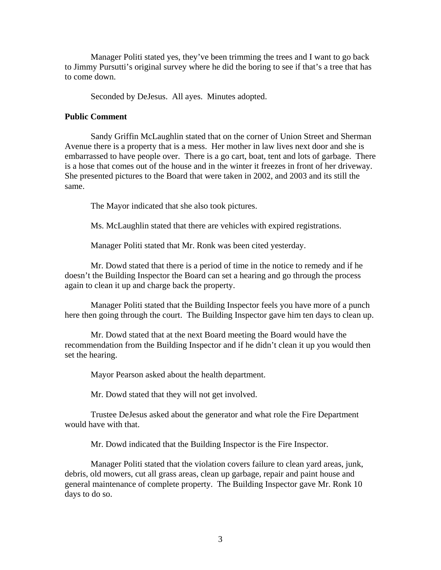Manager Politi stated yes, they've been trimming the trees and I want to go back to Jimmy Pursutti's original survey where he did the boring to see if that's a tree that has to come down.

Seconded by DeJesus. All ayes. Minutes adopted.

## **Public Comment**

Sandy Griffin McLaughlin stated that on the corner of Union Street and Sherman Avenue there is a property that is a mess. Her mother in law lives next door and she is embarrassed to have people over. There is a go cart, boat, tent and lots of garbage. There is a hose that comes out of the house and in the winter it freezes in front of her driveway. She presented pictures to the Board that were taken in 2002, and 2003 and its still the same.

The Mayor indicated that she also took pictures.

Ms. McLaughlin stated that there are vehicles with expired registrations.

Manager Politi stated that Mr. Ronk was been cited yesterday.

 Mr. Dowd stated that there is a period of time in the notice to remedy and if he doesn't the Building Inspector the Board can set a hearing and go through the process again to clean it up and charge back the property.

 Manager Politi stated that the Building Inspector feels you have more of a punch here then going through the court. The Building Inspector gave him ten days to clean up.

 Mr. Dowd stated that at the next Board meeting the Board would have the recommendation from the Building Inspector and if he didn't clean it up you would then set the hearing.

Mayor Pearson asked about the health department.

Mr. Dowd stated that they will not get involved.

 Trustee DeJesus asked about the generator and what role the Fire Department would have with that.

Mr. Dowd indicated that the Building Inspector is the Fire Inspector.

 Manager Politi stated that the violation covers failure to clean yard areas, junk, debris, old mowers, cut all grass areas, clean up garbage, repair and paint house and general maintenance of complete property. The Building Inspector gave Mr. Ronk 10 days to do so.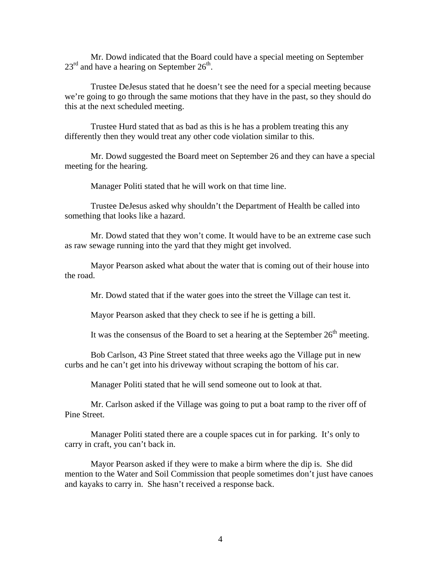Mr. Dowd indicated that the Board could have a special meeting on September  $23^{\text{rd}}$  and have a hearing on September  $26^{\text{th}}$ .

 Trustee DeJesus stated that he doesn't see the need for a special meeting because we're going to go through the same motions that they have in the past, so they should do this at the next scheduled meeting.

 Trustee Hurd stated that as bad as this is he has a problem treating this any differently then they would treat any other code violation similar to this.

 Mr. Dowd suggested the Board meet on September 26 and they can have a special meeting for the hearing.

Manager Politi stated that he will work on that time line.

 Trustee DeJesus asked why shouldn't the Department of Health be called into something that looks like a hazard.

 Mr. Dowd stated that they won't come. It would have to be an extreme case such as raw sewage running into the yard that they might get involved.

 Mayor Pearson asked what about the water that is coming out of their house into the road.

Mr. Dowd stated that if the water goes into the street the Village can test it.

Mayor Pearson asked that they check to see if he is getting a bill.

It was the consensus of the Board to set a hearing at the September  $26<sup>th</sup>$  meeting.

 Bob Carlson, 43 Pine Street stated that three weeks ago the Village put in new curbs and he can't get into his driveway without scraping the bottom of his car.

Manager Politi stated that he will send someone out to look at that.

 Mr. Carlson asked if the Village was going to put a boat ramp to the river off of Pine Street.

 Manager Politi stated there are a couple spaces cut in for parking. It's only to carry in craft, you can't back in.

 Mayor Pearson asked if they were to make a birm where the dip is. She did mention to the Water and Soil Commission that people sometimes don't just have canoes and kayaks to carry in. She hasn't received a response back.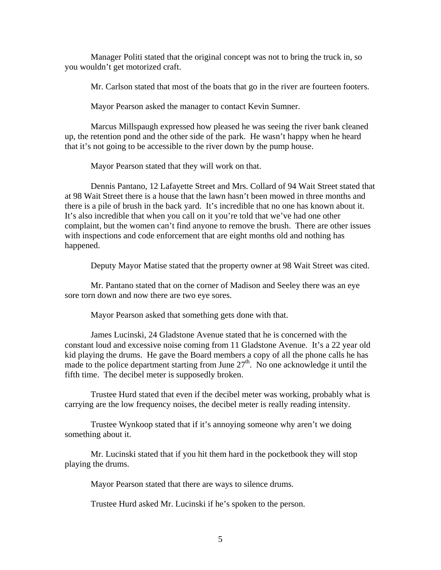Manager Politi stated that the original concept was not to bring the truck in, so you wouldn't get motorized craft.

Mr. Carlson stated that most of the boats that go in the river are fourteen footers.

Mayor Pearson asked the manager to contact Kevin Sumner.

 Marcus Millspaugh expressed how pleased he was seeing the river bank cleaned up, the retention pond and the other side of the park. He wasn't happy when he heard that it's not going to be accessible to the river down by the pump house.

Mayor Pearson stated that they will work on that.

 Dennis Pantano, 12 Lafayette Street and Mrs. Collard of 94 Wait Street stated that at 98 Wait Street there is a house that the lawn hasn't been mowed in three months and there is a pile of brush in the back yard. It's incredible that no one has known about it. It's also incredible that when you call on it you're told that we've had one other complaint, but the women can't find anyone to remove the brush. There are other issues with inspections and code enforcement that are eight months old and nothing has happened.

Deputy Mayor Matise stated that the property owner at 98 Wait Street was cited.

 Mr. Pantano stated that on the corner of Madison and Seeley there was an eye sore torn down and now there are two eye sores.

Mayor Pearson asked that something gets done with that.

 James Lucinski, 24 Gladstone Avenue stated that he is concerned with the constant loud and excessive noise coming from 11 Gladstone Avenue. It's a 22 year old kid playing the drums. He gave the Board members a copy of all the phone calls he has made to the police department starting from June  $27<sup>th</sup>$ . No one acknowledge it until the fifth time. The decibel meter is supposedly broken.

 Trustee Hurd stated that even if the decibel meter was working, probably what is carrying are the low frequency noises, the decibel meter is really reading intensity.

 Trustee Wynkoop stated that if it's annoying someone why aren't we doing something about it.

 Mr. Lucinski stated that if you hit them hard in the pocketbook they will stop playing the drums.

Mayor Pearson stated that there are ways to silence drums.

Trustee Hurd asked Mr. Lucinski if he's spoken to the person.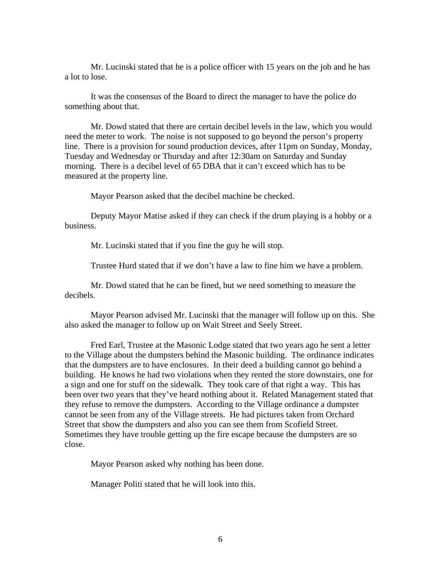Mr. Lucinski stated that he is a police officer with 15 years on the job and he has a lot to lose.

 It was the consensus of the Board to direct the manager to have the police do something about that.

 Mr. Dowd stated that there are certain decibel levels in the law, which you would need the meter to work. The noise is not supposed to go beyond the person's property line. There is a provision for sound production devices, after 11pm on Sunday, Monday, Tuesday and Wednesday or Thursday and after 12:30am on Saturday and Sunday morning. There is a decibel level of 65 DBA that it can't exceed which has to be measured at the property line.

Mayor Pearson asked that the decibel machine be checked.

 Deputy Mayor Matise asked if they can check if the drum playing is a hobby or a business.

Mr. Lucinski stated that if you fine the guy he will stop.

Trustee Hurd stated that if we don't have a law to fine him we have a problem.

 Mr. Dowd stated that he can be fined, but we need something to measure the decibels.

 Mayor Pearson advised Mr. Lucinski that the manager will follow up on this. She also asked the manager to follow up on Wait Street and Seely Street.

 Fred Earl, Trustee at the Masonic Lodge stated that two years ago he sent a letter to the Village about the dumpsters behind the Masonic building. The ordinance indicates that the dumpsters are to have enclosures. In their deed a building cannot go behind a building. He knows he had two violations when they rented the store downstairs, one for a sign and one for stuff on the sidewalk. They took care of that right a way. This has been over two years that they've heard nothing about it. Related Management stated that they refuse to remove the dumpsters. According to the Village ordinance a dumpster cannot be seen from any of the Village streets. He had pictures taken from Orchard Street that show the dumpsters and also you can see them from Scofield Street. Sometimes they have trouble getting up the fire escape because the dumpsters are so close.

Mayor Pearson asked why nothing has been done.

Manager Politi stated that he will look into this.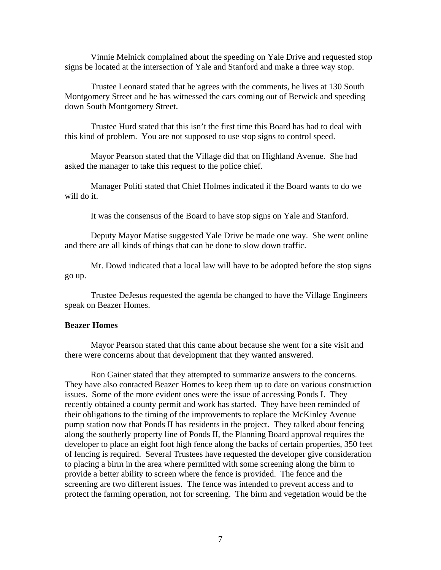Vinnie Melnick complained about the speeding on Yale Drive and requested stop signs be located at the intersection of Yale and Stanford and make a three way stop.

 Trustee Leonard stated that he agrees with the comments, he lives at 130 South Montgomery Street and he has witnessed the cars coming out of Berwick and speeding down South Montgomery Street.

 Trustee Hurd stated that this isn't the first time this Board has had to deal with this kind of problem. You are not supposed to use stop signs to control speed.

 Mayor Pearson stated that the Village did that on Highland Avenue. She had asked the manager to take this request to the police chief.

 Manager Politi stated that Chief Holmes indicated if the Board wants to do we will do it.

It was the consensus of the Board to have stop signs on Yale and Stanford.

 Deputy Mayor Matise suggested Yale Drive be made one way. She went online and there are all kinds of things that can be done to slow down traffic.

 Mr. Dowd indicated that a local law will have to be adopted before the stop signs go up.

 Trustee DeJesus requested the agenda be changed to have the Village Engineers speak on Beazer Homes.

#### **Beazer Homes**

Mayor Pearson stated that this came about because she went for a site visit and there were concerns about that development that they wanted answered.

 Ron Gainer stated that they attempted to summarize answers to the concerns. They have also contacted Beazer Homes to keep them up to date on various construction issues. Some of the more evident ones were the issue of accessing Ponds I. They recently obtained a county permit and work has started. They have been reminded of their obligations to the timing of the improvements to replace the McKinley Avenue pump station now that Ponds II has residents in the project. They talked about fencing along the southerly property line of Ponds II, the Planning Board approval requires the developer to place an eight foot high fence along the backs of certain properties, 350 feet of fencing is required. Several Trustees have requested the developer give consideration to placing a birm in the area where permitted with some screening along the birm to provide a better ability to screen where the fence is provided. The fence and the screening are two different issues. The fence was intended to prevent access and to protect the farming operation, not for screening. The birm and vegetation would be the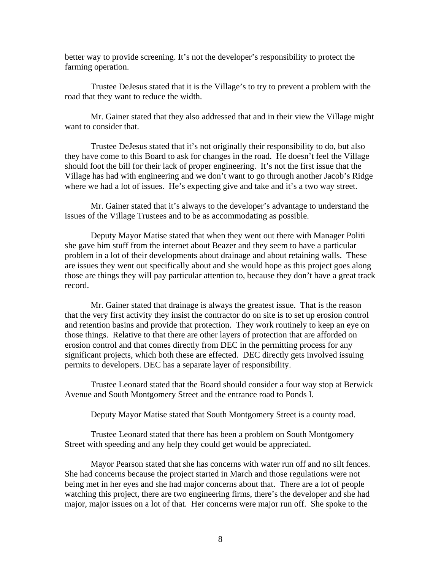better way to provide screening. It's not the developer's responsibility to protect the farming operation.

 Trustee DeJesus stated that it is the Village's to try to prevent a problem with the road that they want to reduce the width.

 Mr. Gainer stated that they also addressed that and in their view the Village might want to consider that.

 Trustee DeJesus stated that it's not originally their responsibility to do, but also they have come to this Board to ask for changes in the road. He doesn't feel the Village should foot the bill for their lack of proper engineering. It's not the first issue that the Village has had with engineering and we don't want to go through another Jacob's Ridge where we had a lot of issues. He's expecting give and take and it's a two way street.

 Mr. Gainer stated that it's always to the developer's advantage to understand the issues of the Village Trustees and to be as accommodating as possible.

 Deputy Mayor Matise stated that when they went out there with Manager Politi she gave him stuff from the internet about Beazer and they seem to have a particular problem in a lot of their developments about drainage and about retaining walls. These are issues they went out specifically about and she would hope as this project goes along those are things they will pay particular attention to, because they don't have a great track record.

 Mr. Gainer stated that drainage is always the greatest issue. That is the reason that the very first activity they insist the contractor do on site is to set up erosion control and retention basins and provide that protection. They work routinely to keep an eye on those things. Relative to that there are other layers of protection that are afforded on erosion control and that comes directly from DEC in the permitting process for any significant projects, which both these are effected. DEC directly gets involved issuing permits to developers. DEC has a separate layer of responsibility.

 Trustee Leonard stated that the Board should consider a four way stop at Berwick Avenue and South Montgomery Street and the entrance road to Ponds I.

Deputy Mayor Matise stated that South Montgomery Street is a county road.

 Trustee Leonard stated that there has been a problem on South Montgomery Street with speeding and any help they could get would be appreciated.

 Mayor Pearson stated that she has concerns with water run off and no silt fences. She had concerns because the project started in March and those regulations were not being met in her eyes and she had major concerns about that. There are a lot of people watching this project, there are two engineering firms, there's the developer and she had major, major issues on a lot of that. Her concerns were major run off. She spoke to the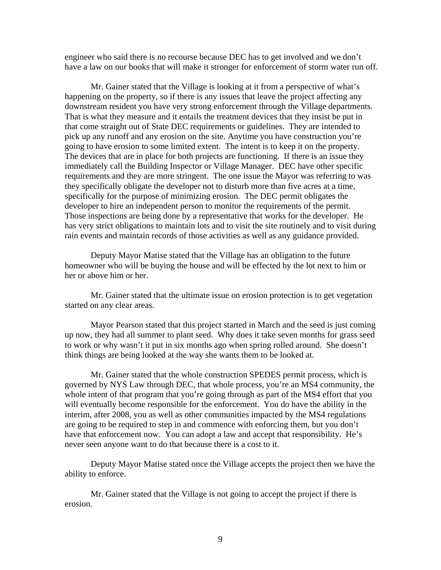engineer who said there is no recourse because DEC has to get involved and we don't have a law on our books that will make it stronger for enforcement of storm water run off.

 Mr. Gainer stated that the Village is looking at it from a perspective of what's happening on the property, so if there is any issues that leave the project affecting any downstream resident you have very strong enforcement through the Village departments. That is what they measure and it entails the treatment devices that they insist be put in that come straight out of State DEC requirements or guidelines. They are intended to pick up any runoff and any erosion on the site. Anytime you have construction you're going to have erosion to some limited extent. The intent is to keep it on the property. The devices that are in place for both projects are functioning. If there is an issue they immediately call the Building Inspector or Village Manager. DEC have other specific requirements and they are more stringent. The one issue the Mayor was referring to was they specifically obligate the developer not to disturb more than five acres at a time, specifically for the purpose of minimizing erosion. The DEC permit obligates the developer to hire an independent person to monitor the requirements of the permit. Those inspections are being done by a representative that works for the developer. He has very strict obligations to maintain lots and to visit the site routinely and to visit during rain events and maintain records of those activities as well as any guidance provided.

 Deputy Mayor Matise stated that the Village has an obligation to the future homeowner who will be buying the house and will be effected by the lot next to him or her or above him or her.

 Mr. Gainer stated that the ultimate issue on erosion protection is to get vegetation started on any clear areas.

 Mayor Pearson stated that this project started in March and the seed is just coming up now, they had all summer to plant seed. Why does it take seven months for grass seed to work or why wasn't it put in six months ago when spring rolled around. She doesn't think things are being looked at the way she wants them to be looked at.

 Mr. Gainer stated that the whole construction SPEDES permit process, which is governed by NYS Law through DEC, that whole process, you're an MS4 community, the whole intent of that program that you're going through as part of the MS4 effort that you will eventually become responsible for the enforcement. You do have the ability in the interim, after 2008, you as well as other communities impacted by the MS4 regulations are going to be required to step in and commence with enforcing them, but you don't have that enforcement now. You can adopt a law and accept that responsibility. He's never seen anyone want to do that because there is a cost to it.

 Deputy Mayor Matise stated once the Village accepts the project then we have the ability to enforce.

 Mr. Gainer stated that the Village is not going to accept the project if there is erosion.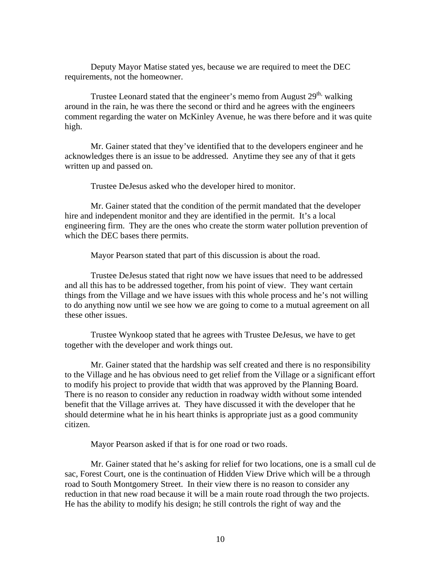Deputy Mayor Matise stated yes, because we are required to meet the DEC requirements, not the homeowner.

Trustee Leonard stated that the engineer's memo from August  $29<sup>th</sup>$ , walking around in the rain, he was there the second or third and he agrees with the engineers comment regarding the water on McKinley Avenue, he was there before and it was quite high.

 Mr. Gainer stated that they've identified that to the developers engineer and he acknowledges there is an issue to be addressed. Anytime they see any of that it gets written up and passed on.

Trustee DeJesus asked who the developer hired to monitor.

 Mr. Gainer stated that the condition of the permit mandated that the developer hire and independent monitor and they are identified in the permit. It's a local engineering firm. They are the ones who create the storm water pollution prevention of which the DEC bases there permits.

Mayor Pearson stated that part of this discussion is about the road.

 Trustee DeJesus stated that right now we have issues that need to be addressed and all this has to be addressed together, from his point of view. They want certain things from the Village and we have issues with this whole process and he's not willing to do anything now until we see how we are going to come to a mutual agreement on all these other issues.

 Trustee Wynkoop stated that he agrees with Trustee DeJesus, we have to get together with the developer and work things out.

 Mr. Gainer stated that the hardship was self created and there is no responsibility to the Village and he has obvious need to get relief from the Village or a significant effort to modify his project to provide that width that was approved by the Planning Board. There is no reason to consider any reduction in roadway width without some intended benefit that the Village arrives at. They have discussed it with the developer that he should determine what he in his heart thinks is appropriate just as a good community citizen.

Mayor Pearson asked if that is for one road or two roads.

 Mr. Gainer stated that he's asking for relief for two locations, one is a small cul de sac, Forest Court, one is the continuation of Hidden View Drive which will be a through road to South Montgomery Street. In their view there is no reason to consider any reduction in that new road because it will be a main route road through the two projects. He has the ability to modify his design; he still controls the right of way and the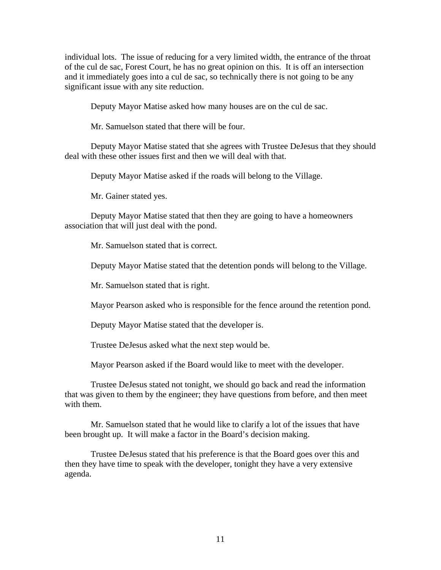individual lots. The issue of reducing for a very limited width, the entrance of the throat of the cul de sac, Forest Court, he has no great opinion on this. It is off an intersection and it immediately goes into a cul de sac, so technically there is not going to be any significant issue with any site reduction.

Deputy Mayor Matise asked how many houses are on the cul de sac.

Mr. Samuelson stated that there will be four.

 Deputy Mayor Matise stated that she agrees with Trustee DeJesus that they should deal with these other issues first and then we will deal with that.

Deputy Mayor Matise asked if the roads will belong to the Village.

Mr. Gainer stated yes.

 Deputy Mayor Matise stated that then they are going to have a homeowners association that will just deal with the pond.

Mr. Samuelson stated that is correct.

Deputy Mayor Matise stated that the detention ponds will belong to the Village.

Mr. Samuelson stated that is right.

Mayor Pearson asked who is responsible for the fence around the retention pond.

Deputy Mayor Matise stated that the developer is.

Trustee DeJesus asked what the next step would be.

Mayor Pearson asked if the Board would like to meet with the developer.

 Trustee DeJesus stated not tonight, we should go back and read the information that was given to them by the engineer; they have questions from before, and then meet with them.

 Mr. Samuelson stated that he would like to clarify a lot of the issues that have been brought up. It will make a factor in the Board's decision making.

 Trustee DeJesus stated that his preference is that the Board goes over this and then they have time to speak with the developer, tonight they have a very extensive agenda.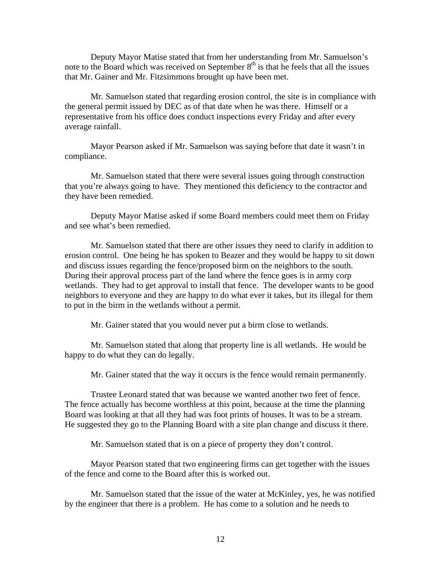Deputy Mayor Matise stated that from her understanding from Mr. Samuelson's note to the Board which was received on September  $8<sup>th</sup>$  is that he feels that all the issues that Mr. Gainer and Mr. Fitzsimmons brought up have been met.

 Mr. Samuelson stated that regarding erosion control, the site is in compliance with the general permit issued by DEC as of that date when he was there. Himself or a representative from his office does conduct inspections every Friday and after every average rainfall.

 Mayor Pearson asked if Mr. Samuelson was saying before that date it wasn't in compliance.

 Mr. Samuelson stated that there were several issues going through construction that you're always going to have. They mentioned this deficiency to the contractor and they have been remedied.

 Deputy Mayor Matise asked if some Board members could meet them on Friday and see what's been remedied.

 Mr. Samuelson stated that there are other issues they need to clarify in addition to erosion control. One being he has spoken to Beazer and they would be happy to sit down and discuss issues regarding the fence/proposed birm on the neighbors to the south. During their approval process part of the land where the fence goes is in army corp wetlands. They had to get approval to install that fence. The developer wants to be good neighbors to everyone and they are happy to do what ever it takes, but its illegal for them to put in the birm in the wetlands without a permit.

Mr. Gainer stated that you would never put a birm close to wetlands.

 Mr. Samuelson stated that along that property line is all wetlands. He would be happy to do what they can do legally.

Mr. Gainer stated that the way it occurs is the fence would remain permanently.

 Trustee Leonard stated that was because we wanted another two feet of fence. The fence actually has become worthless at this point, because at the time the planning Board was looking at that all they had was foot prints of houses. It was to be a stream. He suggested they go to the Planning Board with a site plan change and discuss it there.

Mr. Samuelson stated that is on a piece of property they don't control.

 Mayor Pearson stated that two engineering firms can get together with the issues of the fence and come to the Board after this is worked out.

 Mr. Samuelson stated that the issue of the water at McKinley, yes, he was notified by the engineer that there is a problem. He has come to a solution and he needs to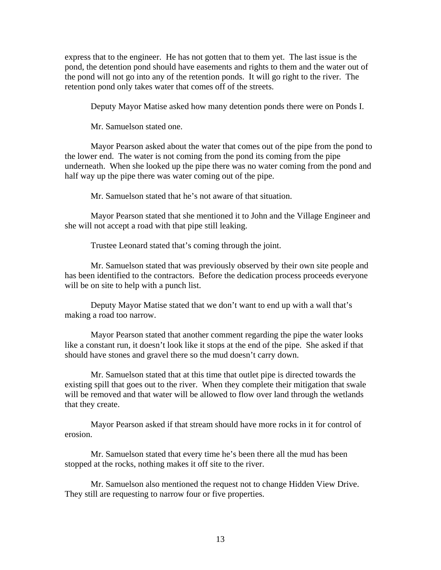express that to the engineer. He has not gotten that to them yet. The last issue is the pond, the detention pond should have easements and rights to them and the water out of the pond will not go into any of the retention ponds. It will go right to the river. The retention pond only takes water that comes off of the streets.

Deputy Mayor Matise asked how many detention ponds there were on Ponds I.

Mr. Samuelson stated one.

 Mayor Pearson asked about the water that comes out of the pipe from the pond to the lower end. The water is not coming from the pond its coming from the pipe underneath. When she looked up the pipe there was no water coming from the pond and half way up the pipe there was water coming out of the pipe.

Mr. Samuelson stated that he's not aware of that situation.

 Mayor Pearson stated that she mentioned it to John and the Village Engineer and she will not accept a road with that pipe still leaking.

Trustee Leonard stated that's coming through the joint.

 Mr. Samuelson stated that was previously observed by their own site people and has been identified to the contractors. Before the dedication process proceeds everyone will be on site to help with a punch list.

 Deputy Mayor Matise stated that we don't want to end up with a wall that's making a road too narrow.

 Mayor Pearson stated that another comment regarding the pipe the water looks like a constant run, it doesn't look like it stops at the end of the pipe. She asked if that should have stones and gravel there so the mud doesn't carry down.

 Mr. Samuelson stated that at this time that outlet pipe is directed towards the existing spill that goes out to the river. When they complete their mitigation that swale will be removed and that water will be allowed to flow over land through the wetlands that they create.

 Mayor Pearson asked if that stream should have more rocks in it for control of erosion.

 Mr. Samuelson stated that every time he's been there all the mud has been stopped at the rocks, nothing makes it off site to the river.

 Mr. Samuelson also mentioned the request not to change Hidden View Drive. They still are requesting to narrow four or five properties.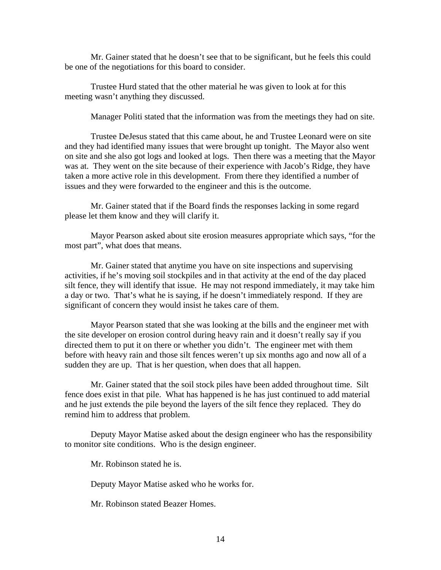Mr. Gainer stated that he doesn't see that to be significant, but he feels this could be one of the negotiations for this board to consider.

 Trustee Hurd stated that the other material he was given to look at for this meeting wasn't anything they discussed.

Manager Politi stated that the information was from the meetings they had on site.

 Trustee DeJesus stated that this came about, he and Trustee Leonard were on site and they had identified many issues that were brought up tonight. The Mayor also went on site and she also got logs and looked at logs. Then there was a meeting that the Mayor was at. They went on the site because of their experience with Jacob's Ridge, they have taken a more active role in this development. From there they identified a number of issues and they were forwarded to the engineer and this is the outcome.

 Mr. Gainer stated that if the Board finds the responses lacking in some regard please let them know and they will clarify it.

 Mayor Pearson asked about site erosion measures appropriate which says, "for the most part", what does that means.

 Mr. Gainer stated that anytime you have on site inspections and supervising activities, if he's moving soil stockpiles and in that activity at the end of the day placed silt fence, they will identify that issue. He may not respond immediately, it may take him a day or two. That's what he is saying, if he doesn't immediately respond. If they are significant of concern they would insist he takes care of them.

 Mayor Pearson stated that she was looking at the bills and the engineer met with the site developer on erosion control during heavy rain and it doesn't really say if you directed them to put it on there or whether you didn't. The engineer met with them before with heavy rain and those silt fences weren't up six months ago and now all of a sudden they are up. That is her question, when does that all happen.

 Mr. Gainer stated that the soil stock piles have been added throughout time. Silt fence does exist in that pile. What has happened is he has just continued to add material and he just extends the pile beyond the layers of the silt fence they replaced. They do remind him to address that problem.

 Deputy Mayor Matise asked about the design engineer who has the responsibility to monitor site conditions. Who is the design engineer.

Mr. Robinson stated he is.

Deputy Mayor Matise asked who he works for.

Mr. Robinson stated Beazer Homes.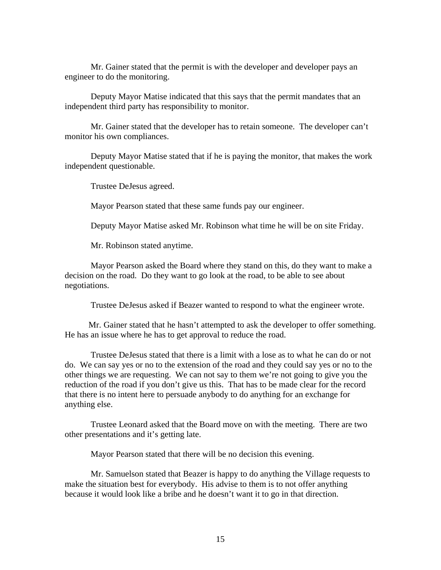Mr. Gainer stated that the permit is with the developer and developer pays an engineer to do the monitoring.

 Deputy Mayor Matise indicated that this says that the permit mandates that an independent third party has responsibility to monitor.

 Mr. Gainer stated that the developer has to retain someone. The developer can't monitor his own compliances.

 Deputy Mayor Matise stated that if he is paying the monitor, that makes the work independent questionable.

Trustee DeJesus agreed.

Mayor Pearson stated that these same funds pay our engineer.

Deputy Mayor Matise asked Mr. Robinson what time he will be on site Friday.

Mr. Robinson stated anytime.

 Mayor Pearson asked the Board where they stand on this, do they want to make a decision on the road. Do they want to go look at the road, to be able to see about negotiations.

Trustee DeJesus asked if Beazer wanted to respond to what the engineer wrote.

 Mr. Gainer stated that he hasn't attempted to ask the developer to offer something. He has an issue where he has to get approval to reduce the road.

 Trustee DeJesus stated that there is a limit with a lose as to what he can do or not do. We can say yes or no to the extension of the road and they could say yes or no to the other things we are requesting. We can not say to them we're not going to give you the reduction of the road if you don't give us this. That has to be made clear for the record that there is no intent here to persuade anybody to do anything for an exchange for anything else.

 Trustee Leonard asked that the Board move on with the meeting. There are two other presentations and it's getting late.

Mayor Pearson stated that there will be no decision this evening.

 Mr. Samuelson stated that Beazer is happy to do anything the Village requests to make the situation best for everybody. His advise to them is to not offer anything because it would look like a bribe and he doesn't want it to go in that direction.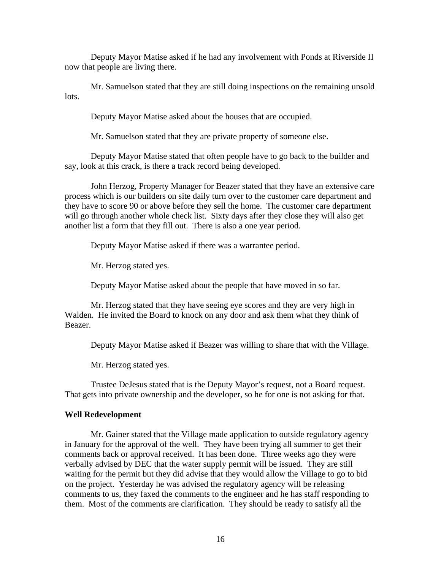Deputy Mayor Matise asked if he had any involvement with Ponds at Riverside II now that people are living there.

 Mr. Samuelson stated that they are still doing inspections on the remaining unsold lots.

Deputy Mayor Matise asked about the houses that are occupied.

Mr. Samuelson stated that they are private property of someone else.

 Deputy Mayor Matise stated that often people have to go back to the builder and say, look at this crack, is there a track record being developed.

 John Herzog, Property Manager for Beazer stated that they have an extensive care process which is our builders on site daily turn over to the customer care department and they have to score 90 or above before they sell the home. The customer care department will go through another whole check list. Sixty days after they close they will also get another list a form that they fill out. There is also a one year period.

Deputy Mayor Matise asked if there was a warrantee period.

Mr. Herzog stated yes.

Deputy Mayor Matise asked about the people that have moved in so far.

 Mr. Herzog stated that they have seeing eye scores and they are very high in Walden. He invited the Board to knock on any door and ask them what they think of Beazer.

Deputy Mayor Matise asked if Beazer was willing to share that with the Village.

Mr. Herzog stated yes.

 Trustee DeJesus stated that is the Deputy Mayor's request, not a Board request. That gets into private ownership and the developer, so he for one is not asking for that.

#### **Well Redevelopment**

 Mr. Gainer stated that the Village made application to outside regulatory agency in January for the approval of the well. They have been trying all summer to get their comments back or approval received. It has been done. Three weeks ago they were verbally advised by DEC that the water supply permit will be issued. They are still waiting for the permit but they did advise that they would allow the Village to go to bid on the project. Yesterday he was advised the regulatory agency will be releasing comments to us, they faxed the comments to the engineer and he has staff responding to them. Most of the comments are clarification. They should be ready to satisfy all the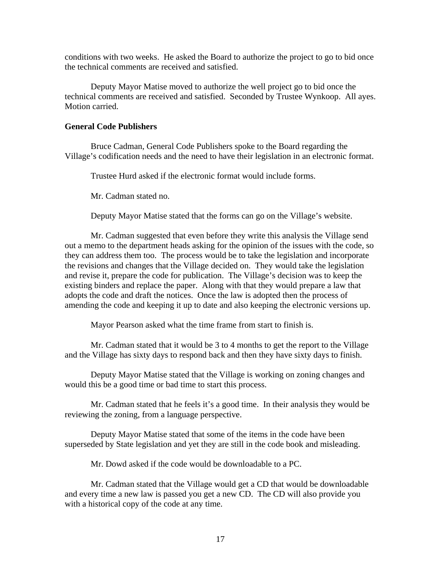conditions with two weeks. He asked the Board to authorize the project to go to bid once the technical comments are received and satisfied.

Deputy Mayor Matise moved to authorize the well project go to bid once the technical comments are received and satisfied. Seconded by Trustee Wynkoop. All ayes. Motion carried.

## **General Code Publishers**

 Bruce Cadman, General Code Publishers spoke to the Board regarding the Village's codification needs and the need to have their legislation in an electronic format.

Trustee Hurd asked if the electronic format would include forms.

Mr. Cadman stated no.

Deputy Mayor Matise stated that the forms can go on the Village's website.

 Mr. Cadman suggested that even before they write this analysis the Village send out a memo to the department heads asking for the opinion of the issues with the code, so they can address them too. The process would be to take the legislation and incorporate the revisions and changes that the Village decided on. They would take the legislation and revise it, prepare the code for publication. The Village's decision was to keep the existing binders and replace the paper. Along with that they would prepare a law that adopts the code and draft the notices. Once the law is adopted then the process of amending the code and keeping it up to date and also keeping the electronic versions up.

Mayor Pearson asked what the time frame from start to finish is.

 Mr. Cadman stated that it would be 3 to 4 months to get the report to the Village and the Village has sixty days to respond back and then they have sixty days to finish.

 Deputy Mayor Matise stated that the Village is working on zoning changes and would this be a good time or bad time to start this process.

 Mr. Cadman stated that he feels it's a good time. In their analysis they would be reviewing the zoning, from a language perspective.

 Deputy Mayor Matise stated that some of the items in the code have been superseded by State legislation and yet they are still in the code book and misleading.

Mr. Dowd asked if the code would be downloadable to a PC.

 Mr. Cadman stated that the Village would get a CD that would be downloadable and every time a new law is passed you get a new CD. The CD will also provide you with a historical copy of the code at any time.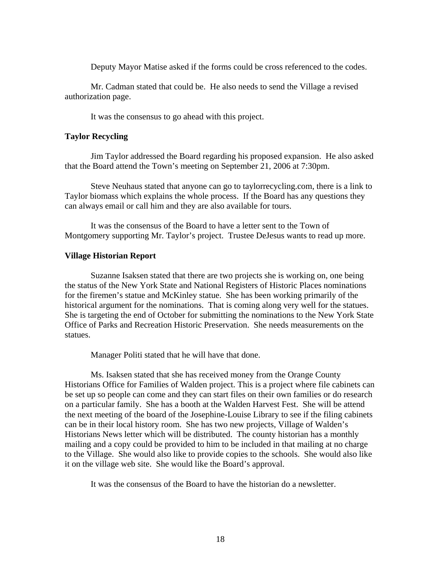Deputy Mayor Matise asked if the forms could be cross referenced to the codes.

 Mr. Cadman stated that could be. He also needs to send the Village a revised authorization page.

It was the consensus to go ahead with this project.

### **Taylor Recycling**

Jim Taylor addressed the Board regarding his proposed expansion. He also asked that the Board attend the Town's meeting on September 21, 2006 at 7:30pm.

 Steve Neuhaus stated that anyone can go to taylorrecycling.com, there is a link to Taylor biomass which explains the whole process. If the Board has any questions they can always email or call him and they are also available for tours.

 It was the consensus of the Board to have a letter sent to the Town of Montgomery supporting Mr. Taylor's project. Trustee DeJesus wants to read up more.

#### **Village Historian Report**

Suzanne Isaksen stated that there are two projects she is working on, one being the status of the New York State and National Registers of Historic Places nominations for the firemen's statue and McKinley statue. She has been working primarily of the historical argument for the nominations. That is coming along very well for the statues. She is targeting the end of October for submitting the nominations to the New York State Office of Parks and Recreation Historic Preservation. She needs measurements on the statues.

Manager Politi stated that he will have that done.

 Ms. Isaksen stated that she has received money from the Orange County Historians Office for Families of Walden project. This is a project where file cabinets can be set up so people can come and they can start files on their own families or do research on a particular family. She has a booth at the Walden Harvest Fest. She will be attend the next meeting of the board of the Josephine-Louise Library to see if the filing cabinets can be in their local history room. She has two new projects, Village of Walden's Historians News letter which will be distributed. The county historian has a monthly mailing and a copy could be provided to him to be included in that mailing at no charge to the Village. She would also like to provide copies to the schools. She would also like it on the village web site. She would like the Board's approval.

It was the consensus of the Board to have the historian do a newsletter.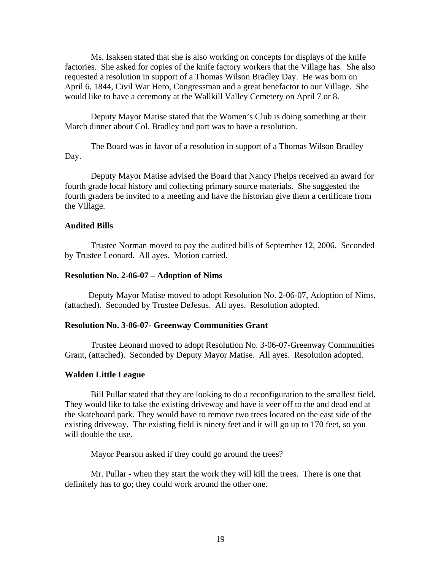Ms. Isaksen stated that she is also working on concepts for displays of the knife factories. She asked for copies of the knife factory workers that the Village has. She also requested a resolution in support of a Thomas Wilson Bradley Day. He was born on April 6, 1844, Civil War Hero, Congressman and a great benefactor to our Village. She would like to have a ceremony at the Wallkill Valley Cemetery on April 7 or 8.

 Deputy Mayor Matise stated that the Women's Club is doing something at their March dinner about Col. Bradley and part was to have a resolution.

 The Board was in favor of a resolution in support of a Thomas Wilson Bradley Day.

 Deputy Mayor Matise advised the Board that Nancy Phelps received an award for fourth grade local history and collecting primary source materials. She suggested the fourth graders be invited to a meeting and have the historian give them a certificate from the Village.

### **Audited Bills**

 Trustee Norman moved to pay the audited bills of September 12, 2006. Seconded by Trustee Leonard. All ayes. Motion carried.

#### **Resolution No. 2-06-07 – Adoption of Nims**

Deputy Mayor Matise moved to adopt Resolution No. 2-06-07, Adoption of Nims, (attached). Seconded by Trustee DeJesus. All ayes. Resolution adopted.

#### **Resolution No. 3-06-07- Greenway Communities Grant**

Trustee Leonard moved to adopt Resolution No. 3-06-07-Greenway Communities Grant, (attached). Seconded by Deputy Mayor Matise. All ayes. Resolution adopted.

#### **Walden Little League**

Bill Pullar stated that they are looking to do a reconfiguration to the smallest field. They would like to take the existing driveway and have it veer off to the and dead end at the skateboard park. They would have to remove two trees located on the east side of the existing driveway. The existing field is ninety feet and it will go up to 170 feet, so you will double the use.

Mayor Pearson asked if they could go around the trees?

Mr. Pullar - when they start the work they will kill the trees. There is one that definitely has to go; they could work around the other one.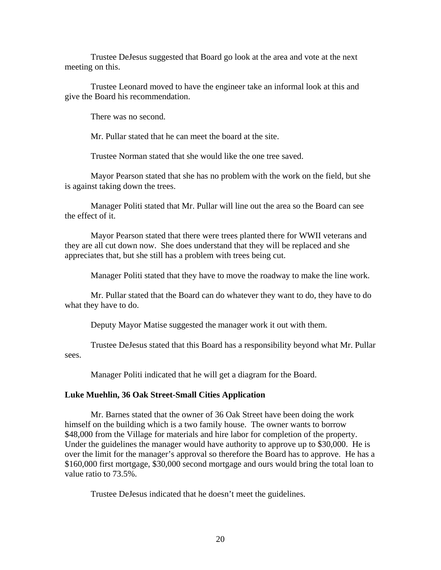Trustee DeJesus suggested that Board go look at the area and vote at the next meeting on this.

Trustee Leonard moved to have the engineer take an informal look at this and give the Board his recommendation.

There was no second.

Mr. Pullar stated that he can meet the board at the site.

Trustee Norman stated that she would like the one tree saved.

Mayor Pearson stated that she has no problem with the work on the field, but she is against taking down the trees.

Manager Politi stated that Mr. Pullar will line out the area so the Board can see the effect of it.

Mayor Pearson stated that there were trees planted there for WWII veterans and they are all cut down now. She does understand that they will be replaced and she appreciates that, but she still has a problem with trees being cut.

Manager Politi stated that they have to move the roadway to make the line work.

Mr. Pullar stated that the Board can do whatever they want to do, they have to do what they have to do.

Deputy Mayor Matise suggested the manager work it out with them.

Trustee DeJesus stated that this Board has a responsibility beyond what Mr. Pullar sees.

Manager Politi indicated that he will get a diagram for the Board.

### **Luke Muehlin, 36 Oak Street-Small Cities Application**

 Mr. Barnes stated that the owner of 36 Oak Street have been doing the work himself on the building which is a two family house. The owner wants to borrow \$48,000 from the Village for materials and hire labor for completion of the property. Under the guidelines the manager would have authority to approve up to \$30,000. He is over the limit for the manager's approval so therefore the Board has to approve. He has a \$160,000 first mortgage, \$30,000 second mortgage and ours would bring the total loan to value ratio to 73.5%.

Trustee DeJesus indicated that he doesn't meet the guidelines.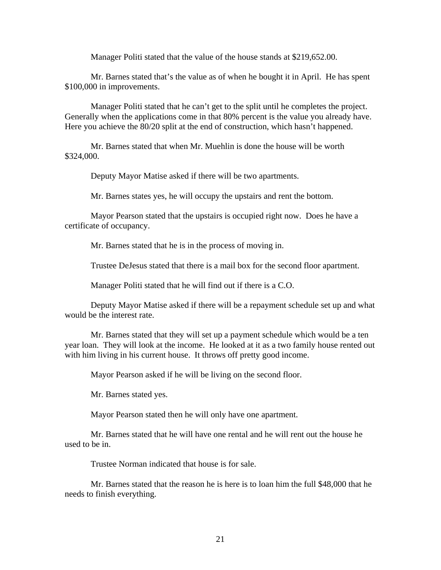Manager Politi stated that the value of the house stands at \$219,652.00.

 Mr. Barnes stated that's the value as of when he bought it in April. He has spent \$100,000 in improvements.

 Manager Politi stated that he can't get to the split until he completes the project. Generally when the applications come in that 80% percent is the value you already have. Here you achieve the 80/20 split at the end of construction, which hasn't happened.

 Mr. Barnes stated that when Mr. Muehlin is done the house will be worth \$324,000.

Deputy Mayor Matise asked if there will be two apartments.

Mr. Barnes states yes, he will occupy the upstairs and rent the bottom.

 Mayor Pearson stated that the upstairs is occupied right now. Does he have a certificate of occupancy.

Mr. Barnes stated that he is in the process of moving in.

Trustee DeJesus stated that there is a mail box for the second floor apartment.

Manager Politi stated that he will find out if there is a C.O.

 Deputy Mayor Matise asked if there will be a repayment schedule set up and what would be the interest rate.

 Mr. Barnes stated that they will set up a payment schedule which would be a ten year loan. They will look at the income. He looked at it as a two family house rented out with him living in his current house. It throws off pretty good income.

Mayor Pearson asked if he will be living on the second floor.

Mr. Barnes stated yes.

Mayor Pearson stated then he will only have one apartment.

 Mr. Barnes stated that he will have one rental and he will rent out the house he used to be in.

Trustee Norman indicated that house is for sale.

 Mr. Barnes stated that the reason he is here is to loan him the full \$48,000 that he needs to finish everything.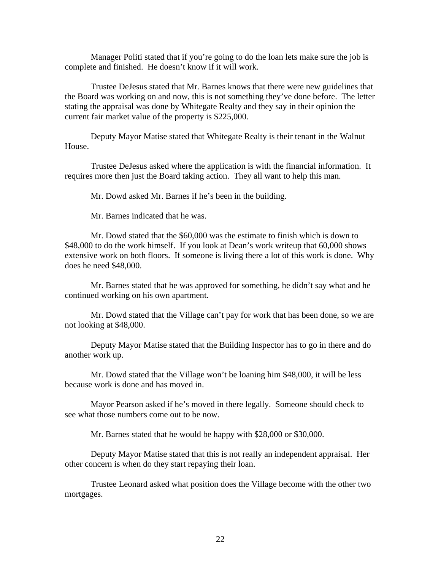Manager Politi stated that if you're going to do the loan lets make sure the job is complete and finished. He doesn't know if it will work.

 Trustee DeJesus stated that Mr. Barnes knows that there were new guidelines that the Board was working on and now, this is not something they've done before. The letter stating the appraisal was done by Whitegate Realty and they say in their opinion the current fair market value of the property is \$225,000.

 Deputy Mayor Matise stated that Whitegate Realty is their tenant in the Walnut House.

 Trustee DeJesus asked where the application is with the financial information. It requires more then just the Board taking action. They all want to help this man.

Mr. Dowd asked Mr. Barnes if he's been in the building.

Mr. Barnes indicated that he was.

 Mr. Dowd stated that the \$60,000 was the estimate to finish which is down to \$48,000 to do the work himself. If you look at Dean's work writeup that 60,000 shows extensive work on both floors. If someone is living there a lot of this work is done. Why does he need \$48,000.

 Mr. Barnes stated that he was approved for something, he didn't say what and he continued working on his own apartment.

 Mr. Dowd stated that the Village can't pay for work that has been done, so we are not looking at \$48,000.

 Deputy Mayor Matise stated that the Building Inspector has to go in there and do another work up.

 Mr. Dowd stated that the Village won't be loaning him \$48,000, it will be less because work is done and has moved in.

 Mayor Pearson asked if he's moved in there legally. Someone should check to see what those numbers come out to be now.

Mr. Barnes stated that he would be happy with \$28,000 or \$30,000.

 Deputy Mayor Matise stated that this is not really an independent appraisal. Her other concern is when do they start repaying their loan.

Trustee Leonard asked what position does the Village become with the other two mortgages.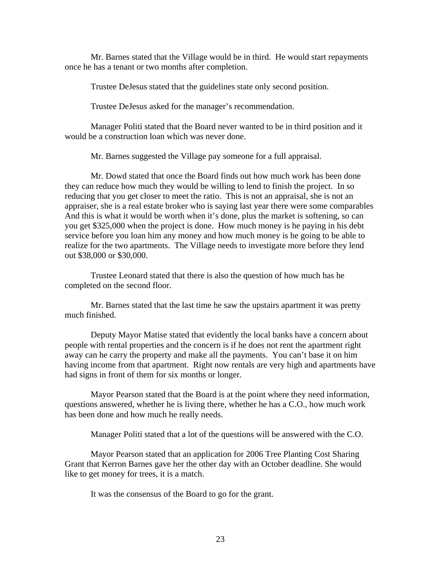Mr. Barnes stated that the Village would be in third. He would start repayments once he has a tenant or two months after completion.

Trustee DeJesus stated that the guidelines state only second position.

Trustee DeJesus asked for the manager's recommendation.

 Manager Politi stated that the Board never wanted to be in third position and it would be a construction loan which was never done.

Mr. Barnes suggested the Village pay someone for a full appraisal.

 Mr. Dowd stated that once the Board finds out how much work has been done they can reduce how much they would be willing to lend to finish the project. In so reducing that you get closer to meet the ratio. This is not an appraisal, she is not an appraiser, she is a real estate broker who is saying last year there were some comparables And this is what it would be worth when it's done, plus the market is softening, so can you get \$325,000 when the project is done. How much money is he paying in his debt service before you loan him any money and how much money is he going to be able to realize for the two apartments. The Village needs to investigate more before they lend out \$38,000 or \$30,000.

 Trustee Leonard stated that there is also the question of how much has he completed on the second floor.

 Mr. Barnes stated that the last time he saw the upstairs apartment it was pretty much finished.

 Deputy Mayor Matise stated that evidently the local banks have a concern about people with rental properties and the concern is if he does not rent the apartment right away can he carry the property and make all the payments. You can't base it on him having income from that apartment. Right now rentals are very high and apartments have had signs in front of them for six months or longer.

 Mayor Pearson stated that the Board is at the point where they need information, questions answered, whether he is living there, whether he has a C.O., how much work has been done and how much he really needs.

Manager Politi stated that a lot of the questions will be answered with the C.O.

 Mayor Pearson stated that an application for 2006 Tree Planting Cost Sharing Grant that Kerron Barnes gave her the other day with an October deadline. She would like to get money for trees, it is a match.

It was the consensus of the Board to go for the grant.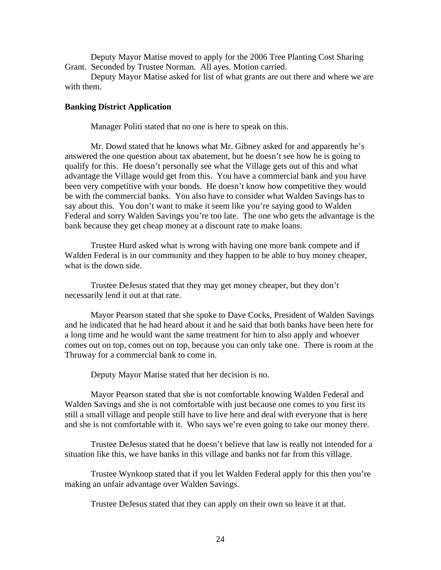Deputy Mayor Matise moved to apply for the 2006 Tree Planting Cost Sharing Grant. Seconded by Trustee Norman. All ayes. Motion carried.

Deputy Mayor Matise asked for list of what grants are out there and where we are with them.

### **Banking District Application**

Manager Politi stated that no one is here to speak on this.

 Mr. Dowd stated that he knows what Mr. Gibney asked for and apparently he's answered the one question about tax abatement, but he doesn't see how he is going to qualify for this. He doesn't personally see what the Village gets out of this and what advantage the Village would get from this. You have a commercial bank and you have been very competitive with your bonds. He doesn't know how competitive they would be with the commercial banks. You also have to consider what Walden Savings has to say about this. You don't want to make it seem like you're saying good to Walden Federal and sorry Walden Savings you're too late. The one who gets the advantage is the bank because they get cheap money at a discount rate to make loans.

 Trustee Hurd asked what is wrong with having one more bank compete and if Walden Federal is in our community and they happen to be able to buy money cheaper, what is the down side.

 Trustee DeJesus stated that they may get money cheaper, but they don't necessarily lend it out at that rate.

 Mayor Pearson stated that she spoke to Dave Cocks, President of Walden Savings and he indicated that he had heard about it and he said that both banks have been here for a long time and he would want the same treatment for him to also apply and whoever comes out on top, comes out on top, because you can only take one. There is room at the Thruway for a commercial bank to come in.

Deputy Mayor Matise stated that her decision is no.

 Mayor Pearson stated that she is not comfortable knowing Walden Federal and Walden Savings and she is not comfortable with just because one comes to you first its still a small village and people still have to live here and deal with everyone that is here and she is not comfortable with it. Who says we're even going to take our money there.

 Trustee DeJesus stated that he doesn't believe that law is really not intended for a situation like this, we have banks in this village and banks not far from this village.

 Trustee Wynkoop stated that if you let Walden Federal apply for this then you're making an unfair advantage over Walden Savings.

Trustee DeJesus stated that they can apply on their own so leave it at that.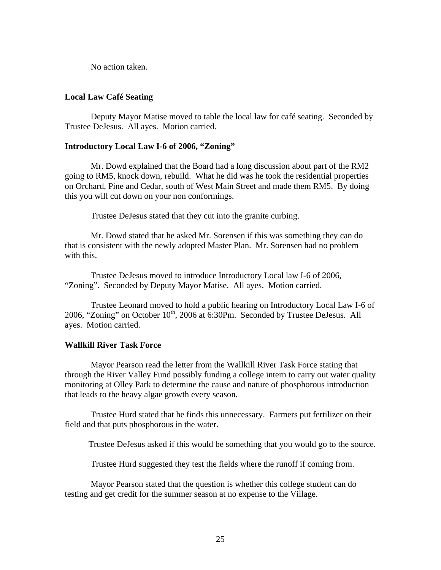No action taken.

## **Local Law Café Seating**

 Deputy Mayor Matise moved to table the local law for café seating. Seconded by Trustee DeJesus. All ayes. Motion carried.

## **Introductory Local Law I-6 of 2006, "Zoning"**

 Mr. Dowd explained that the Board had a long discussion about part of the RM2 going to RM5, knock down, rebuild. What he did was he took the residential properties on Orchard, Pine and Cedar, south of West Main Street and made them RM5. By doing this you will cut down on your non conformings.

Trustee DeJesus stated that they cut into the granite curbing.

 Mr. Dowd stated that he asked Mr. Sorensen if this was something they can do that is consistent with the newly adopted Master Plan. Mr. Sorensen had no problem with this.

 Trustee DeJesus moved to introduce Introductory Local law I-6 of 2006, "Zoning". Seconded by Deputy Mayor Matise. All ayes. Motion carried.

 Trustee Leonard moved to hold a public hearing on Introductory Local Law I-6 of 2006, "Zoning" on October  $10<sup>th</sup>$ , 2006 at 6:30Pm. Seconded by Trustee DeJesus. All ayes. Motion carried.

### **Wallkill River Task Force**

Mayor Pearson read the letter from the Wallkill River Task Force stating that through the River Valley Fund possibly funding a college intern to carry out water quality monitoring at Olley Park to determine the cause and nature of phosphorous introduction that leads to the heavy algae growth every season.

 Trustee Hurd stated that he finds this unnecessary. Farmers put fertilizer on their field and that puts phosphorous in the water.

Trustee DeJesus asked if this would be something that you would go to the source.

Trustee Hurd suggested they test the fields where the runoff if coming from.

 Mayor Pearson stated that the question is whether this college student can do testing and get credit for the summer season at no expense to the Village.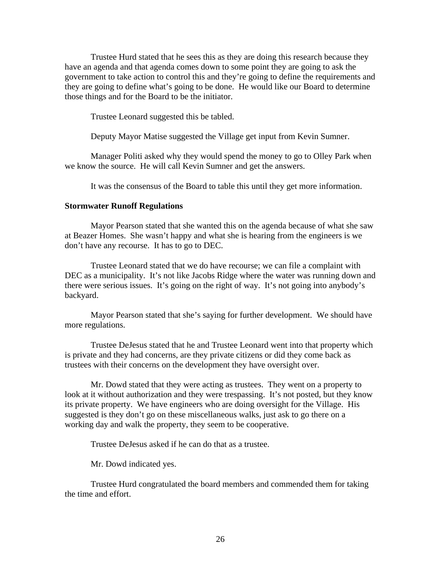Trustee Hurd stated that he sees this as they are doing this research because they have an agenda and that agenda comes down to some point they are going to ask the government to take action to control this and they're going to define the requirements and they are going to define what's going to be done. He would like our Board to determine those things and for the Board to be the initiator.

Trustee Leonard suggested this be tabled.

Deputy Mayor Matise suggested the Village get input from Kevin Sumner.

 Manager Politi asked why they would spend the money to go to Olley Park when we know the source. He will call Kevin Sumner and get the answers.

It was the consensus of the Board to table this until they get more information.

## **Stormwater Runoff Regulations**

Mayor Pearson stated that she wanted this on the agenda because of what she saw at Beazer Homes. She wasn't happy and what she is hearing from the engineers is we don't have any recourse. It has to go to DEC.

 Trustee Leonard stated that we do have recourse; we can file a complaint with DEC as a municipality. It's not like Jacobs Ridge where the water was running down and there were serious issues. It's going on the right of way. It's not going into anybody's backyard.

 Mayor Pearson stated that she's saying for further development. We should have more regulations.

 Trustee DeJesus stated that he and Trustee Leonard went into that property which is private and they had concerns, are they private citizens or did they come back as trustees with their concerns on the development they have oversight over.

 Mr. Dowd stated that they were acting as trustees. They went on a property to look at it without authorization and they were trespassing. It's not posted, but they know its private property. We have engineers who are doing oversight for the Village. His suggested is they don't go on these miscellaneous walks, just ask to go there on a working day and walk the property, they seem to be cooperative.

Trustee DeJesus asked if he can do that as a trustee.

Mr. Dowd indicated yes.

 Trustee Hurd congratulated the board members and commended them for taking the time and effort.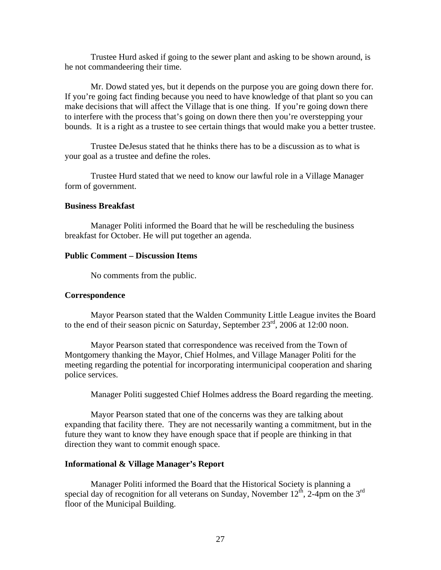Trustee Hurd asked if going to the sewer plant and asking to be shown around, is he not commandeering their time.

 Mr. Dowd stated yes, but it depends on the purpose you are going down there for. If you're going fact finding because you need to have knowledge of that plant so you can make decisions that will affect the Village that is one thing. If you're going down there to interfere with the process that's going on down there then you're overstepping your bounds. It is a right as a trustee to see certain things that would make you a better trustee.

 Trustee DeJesus stated that he thinks there has to be a discussion as to what is your goal as a trustee and define the roles.

 Trustee Hurd stated that we need to know our lawful role in a Village Manager form of government.

## **Business Breakfast**

Manager Politi informed the Board that he will be rescheduling the business breakfast for October. He will put together an agenda.

#### **Public Comment – Discussion Items**

No comments from the public.

### **Correspondence**

Mayor Pearson stated that the Walden Community Little League invites the Board to the end of their season picnic on Saturday, September  $23<sup>rd</sup>$ , 2006 at 12:00 noon.

 Mayor Pearson stated that correspondence was received from the Town of Montgomery thanking the Mayor, Chief Holmes, and Village Manager Politi for the meeting regarding the potential for incorporating intermunicipal cooperation and sharing police services.

Manager Politi suggested Chief Holmes address the Board regarding the meeting.

 Mayor Pearson stated that one of the concerns was they are talking about expanding that facility there. They are not necessarily wanting a commitment, but in the future they want to know they have enough space that if people are thinking in that direction they want to commit enough space.

### **Informational & Village Manager's Report**

Manager Politi informed the Board that the Historical Society is planning a special day of recognition for all veterans on Sunday, November  $12<sup>th</sup>$ , 2-4pm on the 3<sup>rd</sup> floor of the Municipal Building.